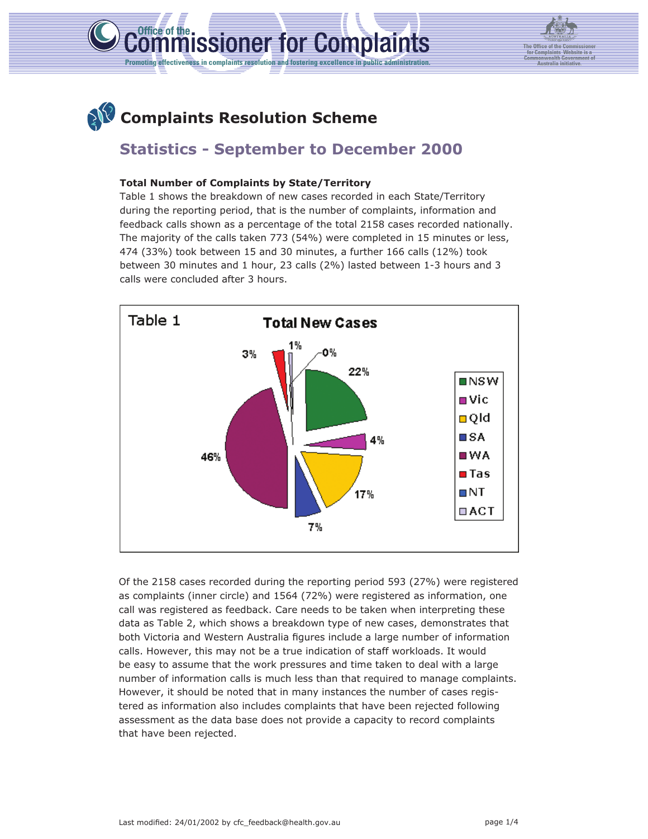

**The Office of the Commissioner for Complaints Website is a Commonwealth Government of Australia initiative.**

# **Complaints Resolution Scheme**

# **Statistics - September to December 2000**

### **Total Number of Complaints by State/Territory**

Table 1 shows the breakdown of new cases recorded in each State/Territory during the reporting period, that is the number of complaints, information and feedback calls shown as a percentage of the total 2158 cases recorded nationally. The majority of the calls taken 773 (54%) were completed in 15 minutes or less, 474 (33%) took between 15 and 30 minutes, a further 166 calls (12%) took between 30 minutes and 1 hour, 23 calls (2%) lasted between 1-3 hours and 3 calls were concluded after 3 hours.



Of the 2158 cases recorded during the reporting period 593 (27%) were registered as complaints (inner circle) and 1564 (72%) were registered as information, one call was registered as feedback. Care needs to be taken when interpreting these data as Table 2, which shows a breakdown type of new cases, demonstrates that both Victoria and Western Australia figures include a large number of information calls. However, this may not be a true indication of staff workloads. It would be easy to assume that the work pressures and time taken to deal with a large number of information calls is much less than that required to manage complaints. However, it should be noted that in many instances the number of cases registered as information also includes complaints that have been rejected following assessment as the data base does not provide a capacity to record complaints that have been rejected.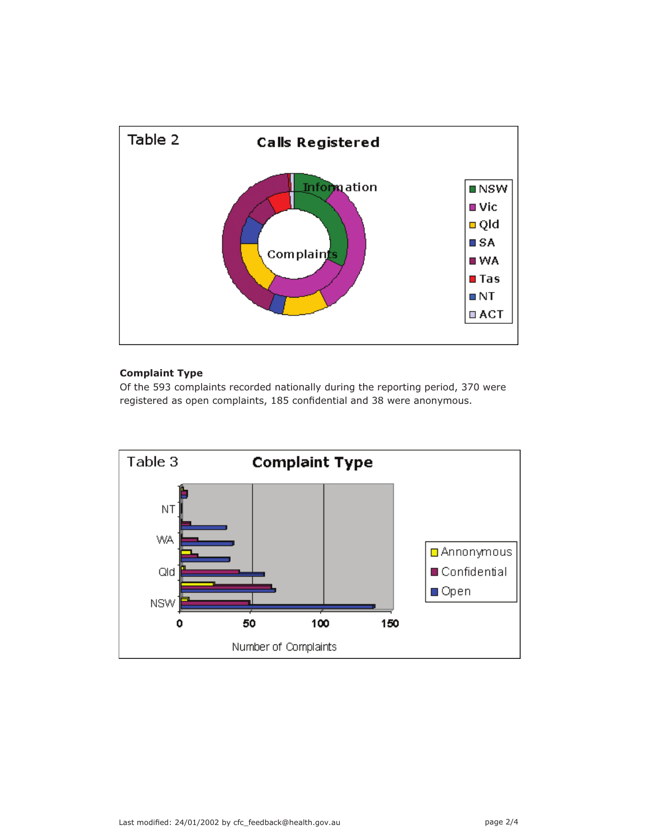

## **Complaint Type**

Of the 593 complaints recorded nationally during the reporting period, 370 were registered as open complaints, 185 confidential and 38 were anonymous.

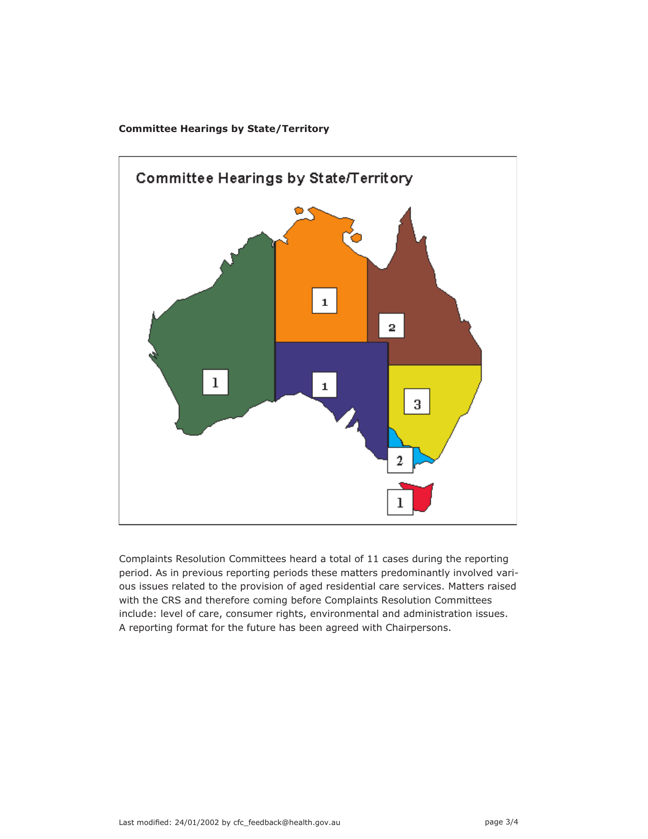



Complaints Resolution Committees heard a total of 11 cases during the reporting period. As in previous reporting periods these matters predominantly involved various issues related to the provision of aged residential care services. Matters raised with the CRS and therefore coming before Complaints Resolution Committees include: level of care, consumer rights, environmental and administration issues. A reporting format for the future has been agreed with Chairpersons.